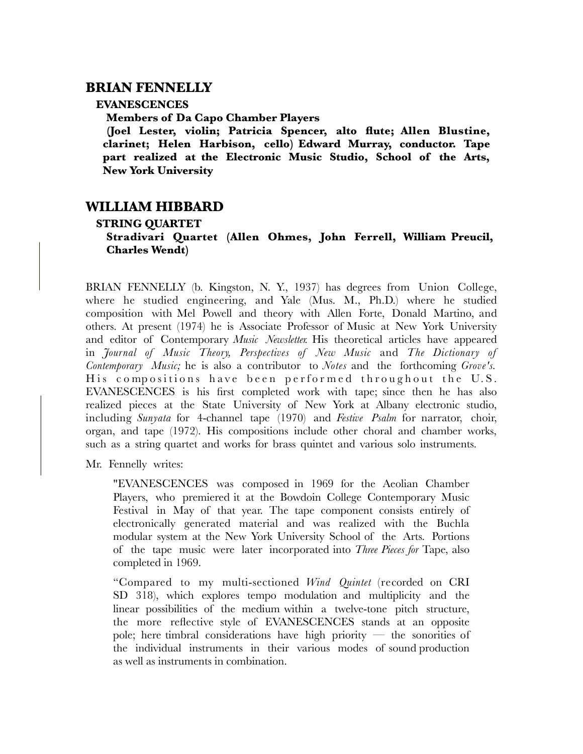## **BRIAN FENNELLY**

## **EVANESCENCES**

**Members of Da Capo Chamber Players**

**(Joel Lester, violin; Patricia Spencer, alto flute; Allen Blustine, clarinet; Helen Harbison, cello) Edward Murray, conductor. Tape part realized at the Electronic Music Studio, School of the Arts, New York University**

## **WILLIAM HIBBARD**

## **STRING QUARTET**

**Stradivari Quartet (Allen Ohmes, John Ferrell, William Preucil, Charles Wendt)**

BRIAN FENNELLY (b. Kingston, N. Y., 1937) has degrees from Union College, where he studied engineering, and Yale (Mus. M., Ph.D.) where he studied composition with Mel Powell and theory with Allen Forte, Donald Martino, and others. At present (1974) he is Associate Professor of Music at New York University and editor of Contemporary *Music Newsletter.* His theoretical articles have appeared in *Journal of Music Theory, Perspectives of New Music* and *The Dictionary of Contemporary Music;* he is also a contributor to *Notes* and the forthcoming *Grove's.* His compositions have been performed throughout the U.S. EVANESCENCES is his first completed work with tape; since then he has also realized pieces at the State University of New York at Albany electronic studio, including *Sunyata* for 4-channel tape (1970) and *Festive Psalm* for narrator, choir, organ, and tape (1972). His compositions include other choral and chamber works, such as a string quartet and works for brass quintet and various solo instruments.

Mr. Fennelly writes:

"EVANESCENCES was composed in 1969 for the Aeolian Chamber Players, who premiered it at the Bowdoin College Contemporary Music Festival in May of that year. The tape component consists entirely of electronically generated material and was realized with the Buchla modular system at the New York University School of the Arts. Portions of the tape music were later incorporated into *Three Pieces for* Tape, also completed in 1969.

"Compared to my multi-sectioned *Wind Quintet* (recorded on CRI SD 318), which explores tempo modulation and multiplicity and the linear possibilities of the medium within a twelve-tone pitch structure, the more reflective style of EVANESCENCES stands at an opposite pole; here timbral considerations have high priority  $-$  the sonorities of the individual instruments in their various modes of sound production as well as instruments in combination.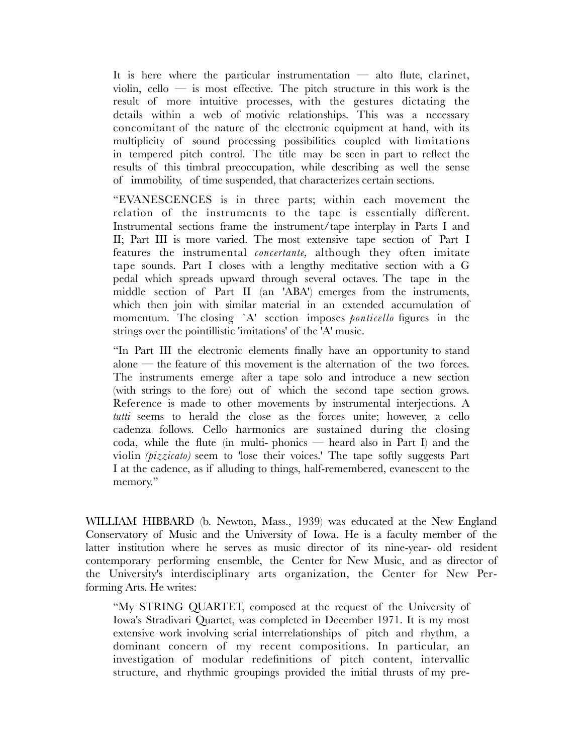It is here where the particular instrumentation  $-$  alto flute, clarinet, violin, cello  $-$  is most effective. The pitch structure in this work is the result of more intuitive processes, with the gestures dictating the details within a web of motivic relationships. This was a necessary concomitant of the nature of the electronic equipment at hand, with its multiplicity of sound processing possibilities coupled with limitations in tempered pitch control. The title may be seen in part to reflect the results of this timbral preoccupation, while describing as well the sense of immobility, of time suspended, that characterizes certain sections.

"EVANESCENCES is in three parts; within each movement the relation of the instruments to the tape is essentially different. Instrumental sections frame the instrument/tape interplay in Parts I and II; Part III is more varied. The most extensive tape section of Part I features the instrumental *concertante,* although they often imitate tape sounds. Part I closes with a lengthy meditative section with a G pedal which spreads upward through several octaves. The tape in the middle section of Part II (an 'ABA') emerges from the instruments, which then join with similar material in an extended accumulation of momentum. The closing `A' section imposes *ponticello* figures in the strings over the pointillistic 'imitations' of the 'A' music.

"In Part III the electronic elements finally have an opportunity to stand alone — the feature of this movement is the alternation of the two forces. The instruments emerge after a tape solo and introduce a new section (with strings to the fore) out of which the second tape section grows. Reference is made to other movements by instrumental interjections. A *tutti* seems to herald the close as the forces unite; however, a cello cadenza follows. Cello harmonics are sustained during the closing coda, while the flute (in multi- phonics — heard also in Part I) and the violin *(pizzicato)* seem to 'lose their voices.' The tape softly suggests Part I at the cadence, as if alluding to things, half-remembered, evanescent to the memory."

WILLIAM HIBBARD (b. Newton, Mass., 1939) was educated at the New England Conservatory of Music and the University of Iowa. He is a faculty member of the latter institution where he serves as music director of its nine-year- old resident contemporary performing ensemble, the Center for New Music, and as director of the University's interdisciplinary arts organization, the Center for New Performing Arts. He writes:

"My STRING QUARTET, composed at the request of the University of Iowa's Stradivari Quartet, was completed in December 1971. It is my most extensive work involving serial interrelationships of pitch and rhythm, a dominant concern of my recent compositions. In particular, an investigation of modular redefinitions of pitch content, intervallic structure, and rhythmic groupings provided the initial thrusts of my pre